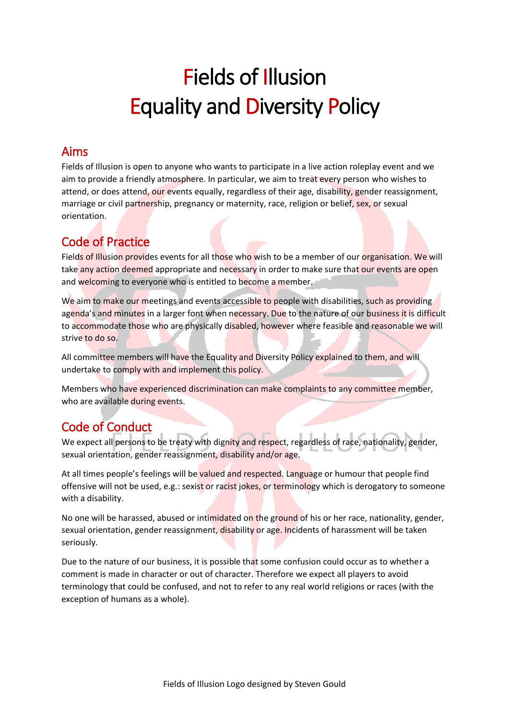# Fields of Illusion Equality and Diversity Policy

#### Aims

Fields of Illusion is open to anyone who wants to participate in a live action roleplay event and we aim to provide a friendly atmosphere. In particular, we aim to treat every person who wishes to attend, or does attend, our events equally, regardless of their age, disability, gender reassignment, marriage or civil partnership, pregnancy or maternity, race, religion or belief, sex, or sexual orientation.

### Code of Practice

Fields of Illusion provides events for all those who wish to be a member of our organisation. We will take any action deemed appropriate and necessary in order to make sure that our events are open and welcoming to everyone who is entitled to become a member.

We aim to make our meetings and events accessible to people with disabilities, such as providing agenda's and minutes in a larger font when necessary. Due to the nature of our business it is difficult to accommodate those who are physically disabled, however where feasible and reasonable we will strive to do so.

All committee members will have the Equality and Diversity Policy explained to them, and will undertake to comply with and implement this policy.

Members who have experienced discrimination can make complaints to any committee member, who are available during events.

## Code of Conduct

We expect all persons to be treaty with dignity and respect, regardless of race, nationality, gender, sexual orientation, gender reassignment, disability and/or age.

At all times people's feelings will be valued and respected. Language or humour that people find offensive will not be used, e.g.: sexist or racist jokes, or terminology which is derogatory to someone with a disability.

No one will be harassed, abused or intimidated on the ground of his or her race, nationality, gender, sexual orientation, gender reassignment, disability or age. Incidents of harassment will be taken seriously.

Due to the nature of our business, it is possible that some confusion could occur as to whether a comment is made in character or out of character. Therefore we expect all players to avoid terminology that could be confused, and not to refer to any real world religions or races (with the exception of humans as a whole).